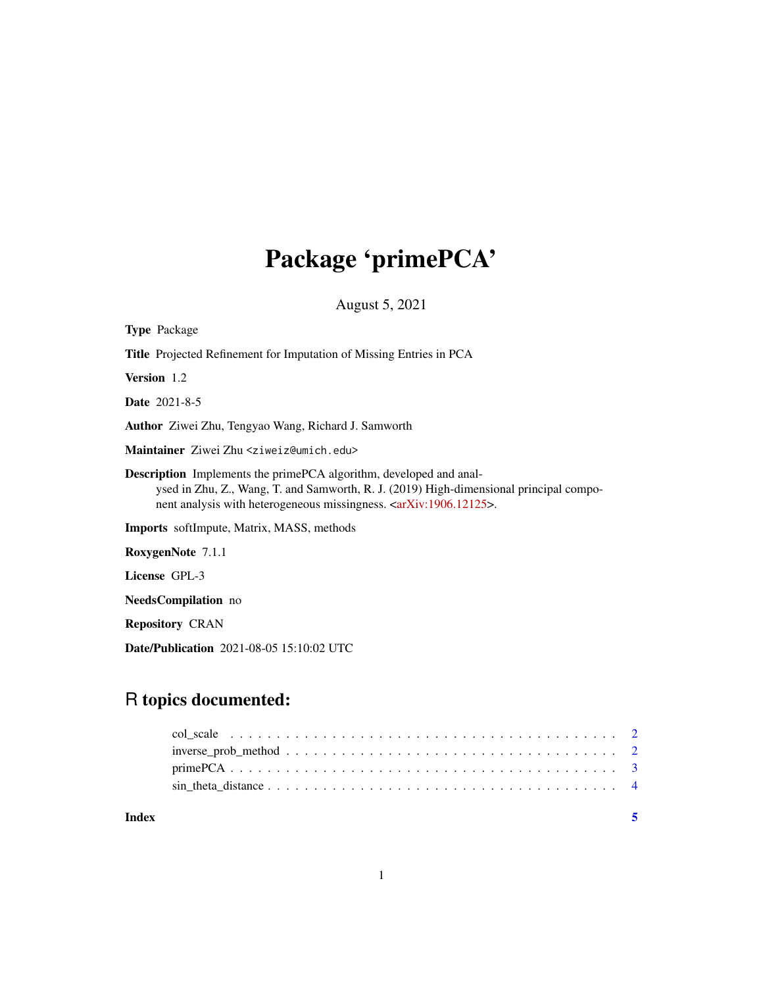## Package 'primePCA'

August 5, 2021

| <b>Type Package</b>                                                                                                                                                                                                                                          |
|--------------------------------------------------------------------------------------------------------------------------------------------------------------------------------------------------------------------------------------------------------------|
| <b>Title</b> Projected Refinement for Imputation of Missing Entries in PCA                                                                                                                                                                                   |
| <b>Version</b> 1.2                                                                                                                                                                                                                                           |
| <b>Date</b> 2021-8-5                                                                                                                                                                                                                                         |
| <b>Author</b> Ziwei Zhu, Tengyao Wang, Richard J. Samworth                                                                                                                                                                                                   |
| Maintainer Ziwei Zhu <ziweiz@umich.edu></ziweiz@umich.edu>                                                                                                                                                                                                   |
| <b>Description</b> Implements the prime PCA algorithm, developed and anal-<br>ysed in Zhu, Z., Wang, T. and Samworth, R. J. (2019) High-dimensional principal compo-<br>nent analysis with heterogeneous missingness. <arxiv:1906.12125>.</arxiv:1906.12125> |
| <b>Imports</b> softImpute, Matrix, MASS, methods                                                                                                                                                                                                             |
| RoxygenNote 7.1.1                                                                                                                                                                                                                                            |
| License GPL-3                                                                                                                                                                                                                                                |
| <b>NeedsCompilation</b> no                                                                                                                                                                                                                                   |
| <b>Repository CRAN</b>                                                                                                                                                                                                                                       |

Date/Publication 2021-08-05 15:10:02 UTC

### R topics documented:

**Index** [5](#page-4-0)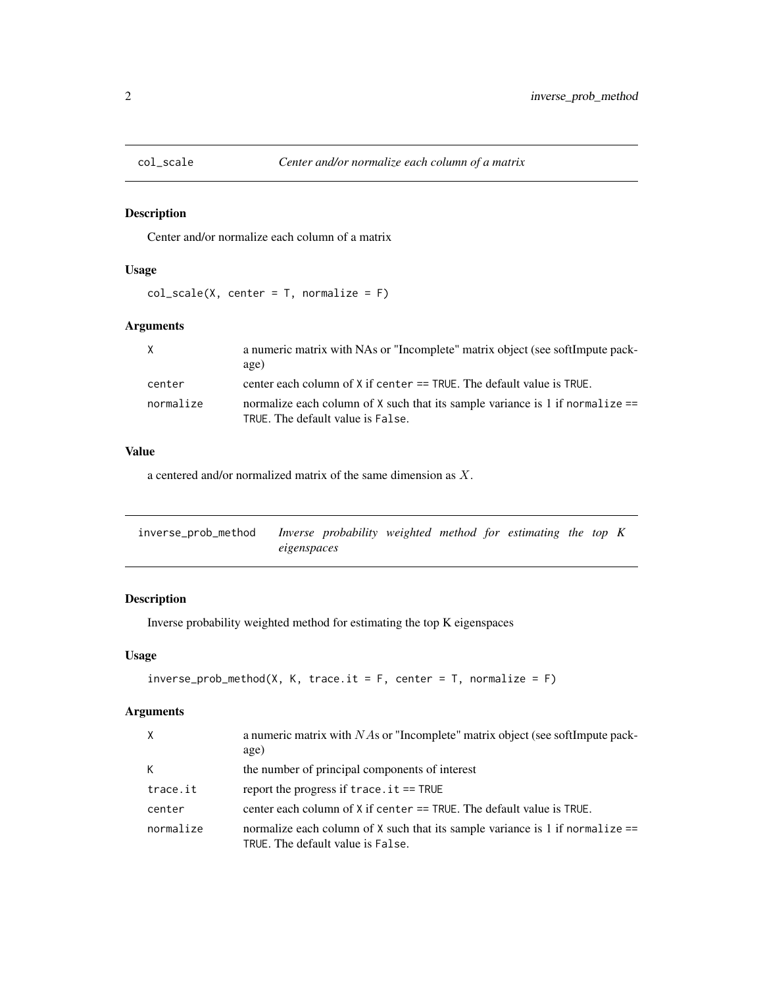<span id="page-1-0"></span>

#### Description

Center and/or normalize each column of a matrix

#### Usage

 $col\_scale(X, center = T, normalize = F)$ 

#### Arguments

| $\mathsf{X}$ | a numeric matrix with NAs or "Incomplete" matrix object (see softImpute pack-<br>age)                                |
|--------------|----------------------------------------------------------------------------------------------------------------------|
| center       | center each column of X if center == TRUE. The default value is TRUE.                                                |
| normalize    | normalize each column of X such that its sample variance is 1 if normalize $==$<br>TRUE. The default value is False. |

#### Value

a centered and/or normalized matrix of the same dimension as X.

| inverse_prob_method |             | Inverse probability weighted method for estimating the top $K$ |  |  |  |  |
|---------------------|-------------|----------------------------------------------------------------|--|--|--|--|
|                     | eigenspaces |                                                                |  |  |  |  |

#### Description

Inverse probability weighted method for estimating the top K eigenspaces

#### Usage

```
inverse\_prob\_method(X, K, trace.it = F, center = T, normalize = F)
```
#### Arguments

| $\times$  | a numeric matrix with NAs or "Incomplete" matrix object (see softImpute pack-<br>age)                                |
|-----------|----------------------------------------------------------------------------------------------------------------------|
| К         | the number of principal components of interest                                                                       |
| trace.it  | report the progress if $trace.it == TRUE$                                                                            |
| center    | center each column of $X$ if center $==$ TRUE. The default value is TRUE.                                            |
| normalize | normalize each column of X such that its sample variance is 1 if normalize $==$<br>TRUE. The default value is False. |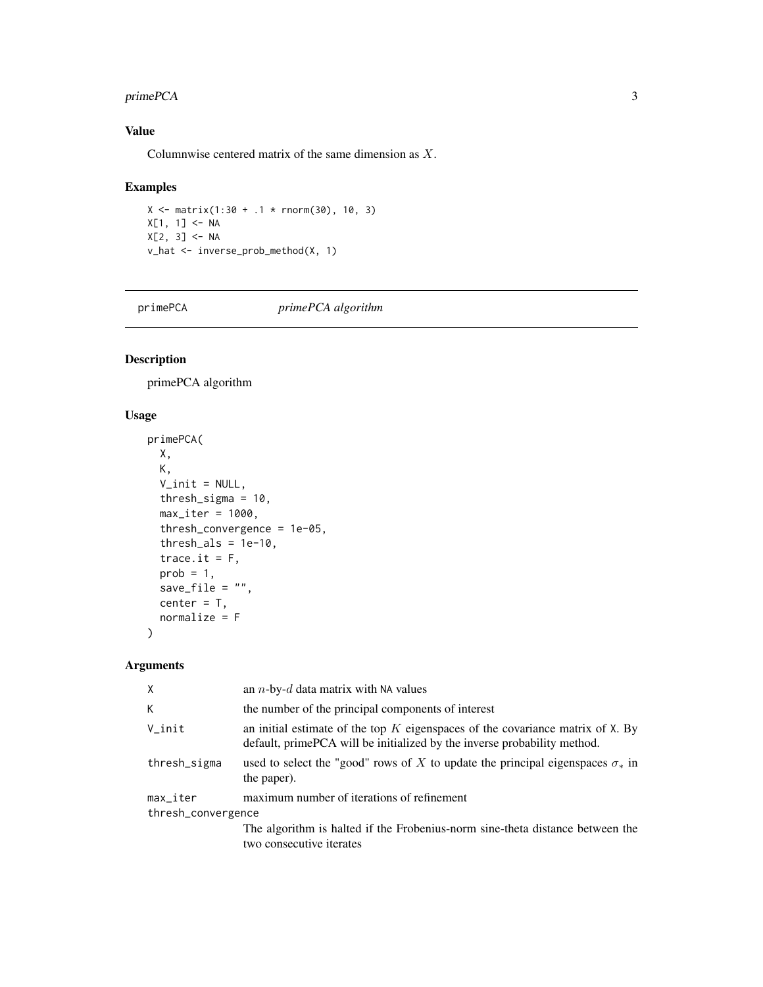#### <span id="page-2-0"></span>primePCA 3

#### Value

Columnwise centered matrix of the same dimension as X.

#### Examples

```
X \le - matrix(1:30 + .1 * rnorm(30), 10, 3)
X[1, 1] <- NA
X[2, 3] <- NA
v_hat <- inverse_prob_method(X, 1)
```
primePCA *primePCA algorithm*

#### Description

primePCA algorithm

#### Usage

```
primePCA(
 X,
 K,
 V_init = NULL,
  thresh_sigma = 10,
 max\_iter = 1000,
  thresh_convergence = 1e-05,
  thresholds = 1e-10,
  trace.it = F,
 prob = 1,
  save_file = ",
 center = T,
 normalize = F
\mathcal{E}
```
#### Arguments

| X                      | an $n$ -by- $d$ data matrix with NA values                                                                                                                       |  |  |  |
|------------------------|------------------------------------------------------------------------------------------------------------------------------------------------------------------|--|--|--|
| K                      | the number of the principal components of interest                                                                                                               |  |  |  |
| V_init                 | an initial estimate of the top $K$ eigenspaces of the covariance matrix of $X$ . By<br>default, prime PCA will be initialized by the inverse probability method. |  |  |  |
| thresh_sigma           | used to select the "good" rows of X to update the principal eigenspaces $\sigma_*$ in<br>the paper).                                                             |  |  |  |
| $max$ <sub>Liter</sub> | maximum number of iterations of refinement                                                                                                                       |  |  |  |
| thresh_convergence     |                                                                                                                                                                  |  |  |  |
|                        | The algorithm is halted if the Frobenius-norm sine-theta distance between the<br>two consecutive iterates                                                        |  |  |  |
|                        |                                                                                                                                                                  |  |  |  |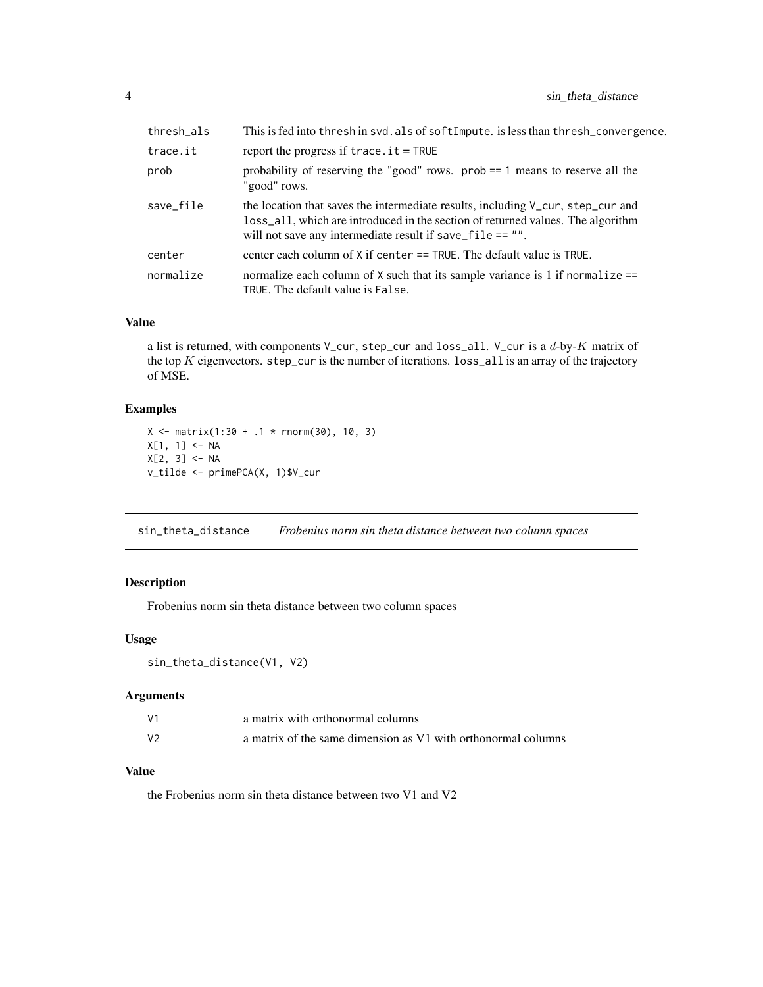<span id="page-3-0"></span>

| thresh_als | This is fed into thresh in svd. als of softImpute. is less than thresh_convergence.                                                                                                                                               |
|------------|-----------------------------------------------------------------------------------------------------------------------------------------------------------------------------------------------------------------------------------|
| trace.it   | report the progress if $trace.it = TRUE$                                                                                                                                                                                          |
| prob       | probability of reserving the "good" rows. $prob == 1$ means to reserve all the<br>"good" rows.                                                                                                                                    |
| save_file  | the location that saves the intermediate results, including V_cur, step_cur and<br>loss_all, which are introduced in the section of returned values. The algorithm<br>will not save any intermediate result if save_file $== "$ . |
| center     | center each column of $X$ if center $==$ TRUE. The default value is TRUE.                                                                                                                                                         |
| normalize  | normalize each column of $X$ such that its sample variance is 1 if normalize $==$<br>TRUE. The default value is False.                                                                                                            |

#### Value

a list is returned, with components V\_cur, step\_cur and loss\_all. V\_cur is a  $d$ -by- $K$  matrix of the top  $K$  eigenvectors. step\_cur is the number of iterations. loss\_all is an array of the trajectory of MSE.

#### Examples

```
X \le - matrix(1:30 + .1 * rnorm(30), 10, 3)
X[1, 1] <- NA
X[2, 3] <- NA
v_tilde <- primePCA(X, 1)$V_cur
```
sin\_theta\_distance *Frobenius norm sin theta distance between two column spaces*

#### Description

Frobenius norm sin theta distance between two column spaces

#### Usage

```
sin_theta_distance(V1, V2)
```
#### Arguments

| V1 | a matrix with orthonormal columns                             |
|----|---------------------------------------------------------------|
| V2 | a matrix of the same dimension as V1 with orthonormal columns |

#### Value

the Frobenius norm sin theta distance between two V1 and V2